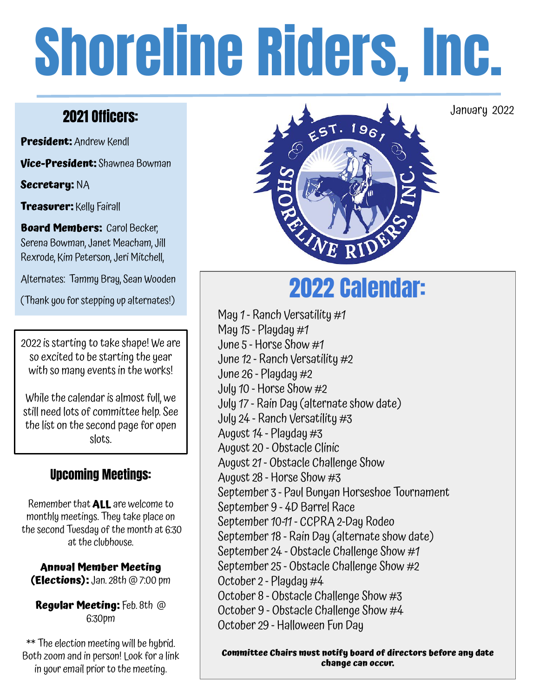# Shoreline Riders, Inc.

# 2021 Officers:

**President:** Andrew Kendl

**Vice-President:** Shawnea Bowman

**Secretary:** NA

**Treasurer:** Kelly Fairall

**Board Members: Carol Becker,** Serena Bowman, Janet Meacham, Jill Rexrode, Kim Peterson, Jeri Mitchell,

Alternates: Tammy Bray, Sean Wooden

2022 is starting to take shape! We are so excited to be starting the year with so many events in the works!

While the calendar is almost full, we still need lots of committee help. See the list on the second page for open slots.

# Upcoming Meetings:

Remember that **ALL** are welcome to monthly meetings. They take place on the second Tuesday of the month at 6:30 at the clubhouse.

**Annual Member Meeting (Elections):** Jan. 28th @ 7:00 pm

**Regular Meeting:** Feb. 8th @ 6:30pm

\*\* The election meeting will be hybrid. Both zoom and in person! Look for a link in your email prior to the meeting.



January 2022

# Alternates: Tammy Bray, Sean Wooden<br>(Thank you for stepping up alternates!)

May 1 - Ranch Versatility #1 May  $15$  - Playday  $#1$ June 5 - Horse Show #1 June 12 - Ranch Versatility #2 June 26 - Playday #2 July 10 - Horse Show #2 July 17 - Rain Day (alternate show date) July 24 - Ranch Versatility #3 August 14 - Playday #3 August 20 - Obstacle Clinic August 21 - Obstacle Challenge Show August 28 - Horse Show #3 September 3 - Paul Bunyan Horseshoe Tournament September 9 - 4D Barrel Race September 10-11 - CCPRA 2-Day Rodeo September 18 - Rain Day (alternate show date) September 24 - Obstacle Challenge Show #1 September 25 - Obstacle Challenge Show #2 October 2 - Playday #4 October 8 - Obstacle Challenge Show #3 October 9 - Obstacle Challenge Show #4 October 29 - Halloween Fun Day

**Committee Chairs must notify board of directors before any date change can occur.**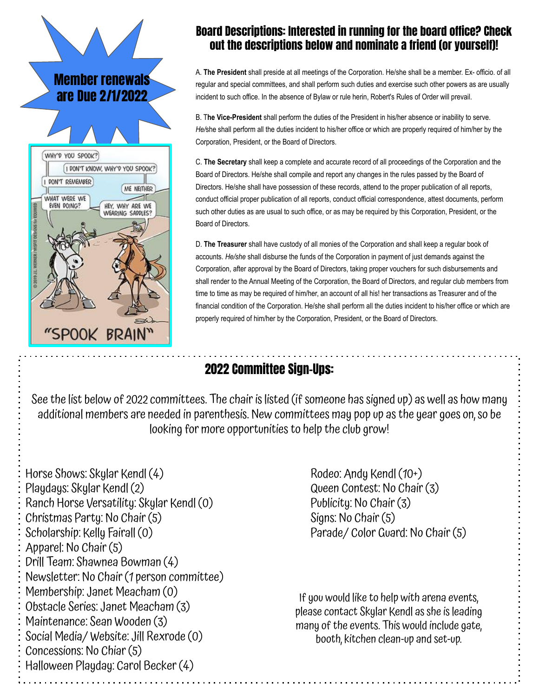

## Board Descriptions: Interested in running for the board office? Check out the descriptions below and nominate a friend (or yourself)!

A. **The President** shall preside at all meetings of the Corporation. He/she shall be a member. Ex- officio. of all regular and special committees, and shall perform such duties and exercise such other powers as are usually incident to such office. In the absence of Bylaw or rule herin, Robert's Rules of Order will prevail.

B. T**he Vice-President** shall perform the duties of the President in his/her absence or inability to serve. *He/*she shall perform all the duties incident to his/her office or which are properly required of him/her by the Corporation, President, or the Board of Directors.

C. **The Secretary** shall keep a complete and accurate record of all proceedings of the Corporation and the Board of Directors. He/she shall compile and report any changes in the rules passed by the Board of Directors. He/she shall have possession of these records, attend to the proper publication of all reports, conduct official proper publication of all reports, conduct official correspondence, attest documents, perform such other duties as are usual to such office, or as may be required by this Corporation, President, or the Board of Directors.

D. **The Treasurer** shall have custody of all monies of the Corporation and shall keep a regular book of accounts. *He/she* shall disburse the funds of the Corporation in payment of just demands against the Corporation, after approval by the Board of Directors, taking proper vouchers for such disbursements and shall render to the Annual Meeting of the Corporation, the Board of Directors, and regular club members from time to time as may be required of him/her, an account of all his! her transactions as Treasurer and of the financial condition of the Corporation. He/she shall perform all the duties incident to his/her office or which are properly required of him/her by the Corporation, President, or the Board of Directors.

# 2022 Committee Sign-Ups:

See the list below of 2022 committees. The chair is listed (if someone has signed up) as well as how many additional members are needed in parenthesis. New committees may pop up as the year goes on, so be looking for more opportunities to help the club grow!

Horse Shows: Skylar Kendl (4) Rodeo: Andy Kendl (10+) Playdays: Skylar Kendl (2) Queen Contest: No Chair (3) Ranch Horse Versatility: Skylar Kendl (0) Publicity: No Chair (3) Christmas Party: No Chair (5) Signs: No Chair (5) Scholarship: Kelly Fairall (0) Parade/ Color Guard: No Chair (5) Apparel: No Chair (5) Drill Team: Shawnea Bowman (4) Newsletter: No Chair (1 person committee) Membership: Janet Meacham (0) Obstacle Series: Janet Meacham (3) Maintenance: Sean Wooden (3) Social Media/ Website: Jill Rexrode (0) Concessions: No Chiar (5) Halloween Playday: Carol Becker (4)

If you would like to help with arena events, please contact Skylar Kendl as she is leading many of the events. This would include gate, booth, kitchen clean-up and set-up.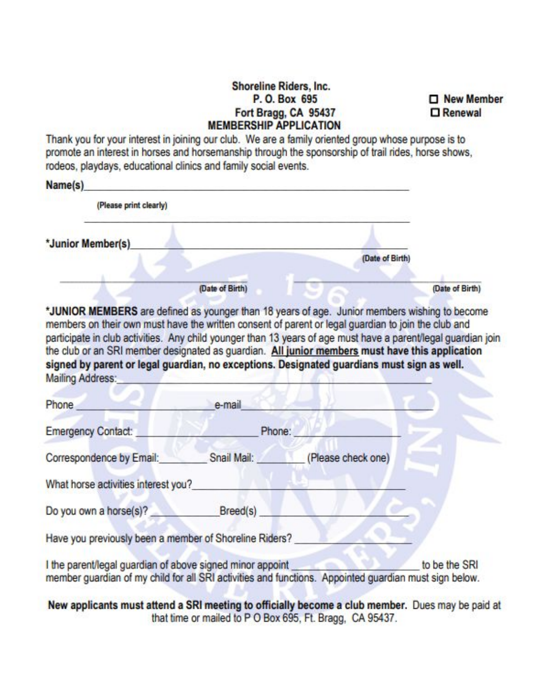#### Shoreline Riders, Inc. P. O. Box 695 Fort Bragg, CA 95437 **MEMBERSHIP APPLICATION**

New Member **D** Renewal

Thank you for your interest in joining our club. We are a family oriented group whose purpose is to promote an interest in horses and horsemanship through the sponsorship of trail rides, horse shows, rodeos, playdays, educational clinics and family social events.

| (Please print clearly)                                                                                                                                                                                                                                                                                                                                                                                                                                                                                                                     |                 |                                |                 |
|--------------------------------------------------------------------------------------------------------------------------------------------------------------------------------------------------------------------------------------------------------------------------------------------------------------------------------------------------------------------------------------------------------------------------------------------------------------------------------------------------------------------------------------------|-----------------|--------------------------------|-----------------|
| *Junior Member(s)                                                                                                                                                                                                                                                                                                                                                                                                                                                                                                                          |                 |                                |                 |
|                                                                                                                                                                                                                                                                                                                                                                                                                                                                                                                                            |                 | (Date of Birth)                |                 |
|                                                                                                                                                                                                                                                                                                                                                                                                                                                                                                                                            | (Date of Birth) |                                | (Date of Birth) |
| *JUNIOR MEMBERS are defined as younger than 18 years of age. Junior members wishing to become<br>members on their own must have the written consent of parent or legal guardian to join the club and<br>participate in club activities. Any child younger than 13 years of age must have a parent/legal guardian join<br>the club or an SRI member designated as guardian. All junior members must have this application<br>signed by parent or legal guardian, no exceptions. Designated guardians must sign as well.<br>Mailing Address: |                 |                                |                 |
|                                                                                                                                                                                                                                                                                                                                                                                                                                                                                                                                            |                 |                                |                 |
|                                                                                                                                                                                                                                                                                                                                                                                                                                                                                                                                            | e-mail          |                                |                 |
| Phone<br>Emergency Contact:                                                                                                                                                                                                                                                                                                                                                                                                                                                                                                                | Phone:          |                                |                 |
| Correspondence by Email:                                                                                                                                                                                                                                                                                                                                                                                                                                                                                                                   |                 | Snail Mail: (Please check one) |                 |
| What horse activities interest you?                                                                                                                                                                                                                                                                                                                                                                                                                                                                                                        |                 |                                |                 |
|                                                                                                                                                                                                                                                                                                                                                                                                                                                                                                                                            |                 |                                |                 |
| Do you own a horse(s)? Breed(s)<br>Have you previously been a member of Shoreline Riders?                                                                                                                                                                                                                                                                                                                                                                                                                                                  |                 |                                |                 |

New applicants must attend a SRI meeting to officially become a club member. Dues may be paid at that time or mailed to P O Box 695, Ft. Bragg, CA 95437.